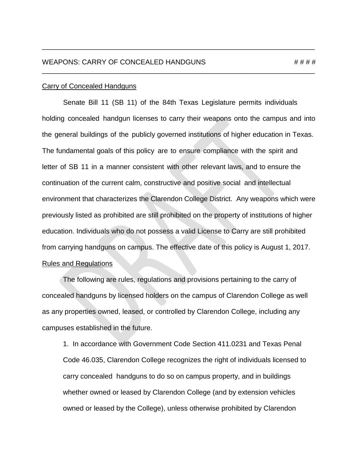Senate Bill 11 (SB 11) of the 84th Texas Legislature permits individuals holding concealed handgun licenses to carry their weapons onto the campus and into the general buildings of the publicly governed institutions of higher education in Texas. The fundamental goals of this policy are to ensure compliance with the spirit and letter of SB 11 in a manner consistent with other relevant laws, and to ensure the continuation of the current calm, constructive and positive social and intellectual environment that characterizes the Clarendon College District. Any weapons which were previously listed as prohibited are still prohibited on the property of institutions of higher education. Individuals who do not possess a valid License to Carry are still prohibited from carrying handguns on campus. The effective date of this policy is August 1, 2017. Rules and Regulations

\_\_\_\_\_\_\_\_\_\_\_\_\_\_\_\_\_\_\_\_\_\_\_\_\_\_\_\_\_\_\_\_\_\_\_\_\_\_\_\_\_\_\_\_\_\_\_\_\_\_\_\_\_\_\_\_\_\_\_\_\_\_\_\_\_\_\_\_\_\_

\_\_\_\_\_\_\_\_\_\_\_\_\_\_\_\_\_\_\_\_\_\_\_\_\_\_\_\_\_\_\_\_\_\_\_\_\_\_\_\_\_\_\_\_\_\_\_\_\_\_\_\_\_\_\_\_\_\_\_\_\_\_\_\_\_\_\_\_\_\_

The following are rules, regulations and provisions pertaining to the carry of concealed handguns by licensed holders on the campus of Clarendon College as well as any properties owned, leased, or controlled by Clarendon College, including any campuses established in the future.

1. In accordance with Government Code Section 411.0231 and Texas Penal Code 46.035, Clarendon College recognizes the right of individuals licensed to carry concealed handguns to do so on campus property, and in buildings whether owned or leased by Clarendon College (and by extension vehicles owned or leased by the College), unless otherwise prohibited by Clarendon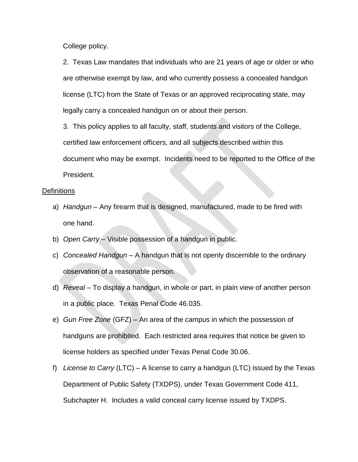College policy.

2. Texas Law mandates that individuals who are 21 years of age or older or who are otherwise exempt by law, and who currently possess a concealed handgun license (LTC) from the State of Texas or an approved reciprocating state, may legally carry a concealed handgun on or about their person.

3. This policy applies to all faculty, staff, students and visitors of the College, certified law enforcement officers, and all subjects described within this document who may be exempt. Incidents need to be reported to the Office of the President.

#### **Definitions**

- a) *Handgun* Any firearm that is designed, manufactured, made to be fired with one hand.
- b) *Open Carry* Visible possession of a handgun in public.
- c) *Concealed Handgun* A handgun that is not openly discernible to the ordinary observation of a reasonable person.
- d) *Reveal* To display a handgun, in whole or part, in plain view of another person in a public place. Texas Penal Code 46.035.
- e) *Gun Free Zone* (GFZ) An area of the campus in which the possession of handguns are prohibited. Each restricted area requires that notice be given to license holders as specified under Texas Penal Code 30.06.
- f) *License to Carry* (LTC) A license to carry a handgun (LTC) issued by the Texas Department of Public Safety (TXDPS), under Texas Government Code 411, Subchapter H. Includes a valid conceal carry license issued by TXDPS.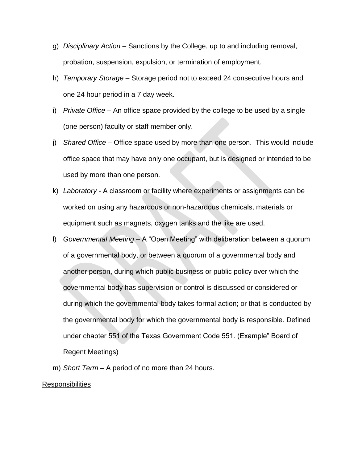- g) *Disciplinary Action* Sanctions by the College, up to and including removal, probation, suspension, expulsion, or termination of employment.
- h) *Temporary Storage*  Storage period not to exceed 24 consecutive hours and one 24 hour period in a 7 day week.
- i) *Private Office* An office space provided by the college to be used by a single (one person) faculty or staff member only.
- j) *Shared Office* Office space used by more than one person. This would include office space that may have only one occupant, but is designed or intended to be used by more than one person.
- k) *Laboratory* A classroom or facility where experiments or assignments can be worked on using any hazardous or non-hazardous chemicals, materials or equipment such as magnets, oxygen tanks and the like are used.
- l) *Governmental Meeting –* A "Open Meeting" with deliberation between a quorum of a governmental body, or between a quorum of a governmental body and another person, during which public business or public policy over which the governmental body has supervision or control is discussed or considered or during which the governmental body takes formal action; or that is conducted by the governmental body for which the governmental body is responsible. Defined under chapter 551 of the Texas Government Code 551. (Example" Board of Regent Meetings)
- m) *Short Term* A period of no more than 24 hours.

#### Responsibilities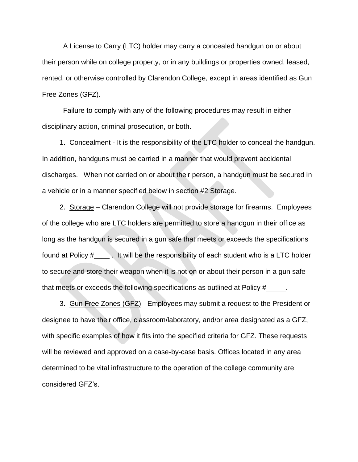A License to Carry (LTC) holder may carry a concealed handgun on or about their person while on college property, or in any buildings or properties owned, leased, rented, or otherwise controlled by Clarendon College, except in areas identified as Gun Free Zones (GFZ).

Failure to comply with any of the following procedures may result in either disciplinary action, criminal prosecution, or both.

 1. Concealment - It is the responsibility of the LTC holder to conceal the handgun. In addition, handguns must be carried in a manner that would prevent accidental discharges. When not carried on or about their person, a handgun must be secured in a vehicle or in a manner specified below in section #2 Storage.

2. Storage – Clarendon College will not provide storage for firearms. Employees of the college who are LTC holders are permitted to store a handgun in their office as long as the handgun is secured in a gun safe that meets or exceeds the specifications found at Policy  $\#$   $\Box$ . It will be the responsibility of each student who is a LTC holder to secure and store their weapon when it is not on or about their person in a gun safe that meets or exceeds the following specifications as outlined at Policy #

3. Gun Free Zones (GFZ) - Employees may submit a request to the President or designee to have their office, classroom/laboratory, and/or area designated as a GFZ, with specific examples of how it fits into the specified criteria for GFZ. These requests will be reviewed and approved on a case-by-case basis. Offices located in any area determined to be vital infrastructure to the operation of the college community are considered GFZ's.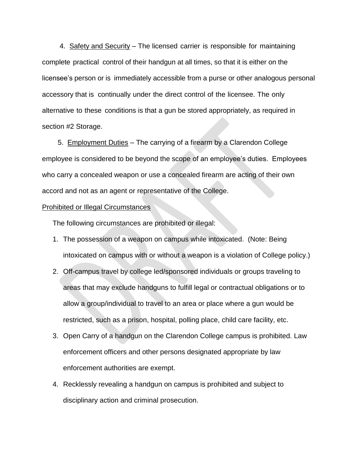4. Safety and Security – The licensed carrier is responsible for maintaining complete practical control of their handgun at all times, so that it is either on the licensee's person or is immediately accessible from a purse or other analogous personal accessory that is continually under the direct control of the licensee. The only alternative to these conditions is that a gun be stored appropriately, as required in section #2 Storage.

 5. Employment Duties – The carrying of a firearm by a Clarendon College employee is considered to be beyond the scope of an employee's duties. Employees who carry a concealed weapon or use a concealed firearm are acting of their own accord and not as an agent or representative of the College.

#### Prohibited or Illegal Circumstances

The following circumstances are prohibited or illegal:

- 1. The possession of a weapon on campus while intoxicated. (Note: Being intoxicated on campus with or without a weapon is a violation of College policy.)
- 2. Off-campus travel by college led/sponsored individuals or groups traveling to areas that may exclude handguns to fulfill legal or contractual obligations or to allow a group/individual to travel to an area or place where a gun would be restricted, such as a prison, hospital, polling place, child care facility, etc.
- 3. Open Carry of a handgun on the Clarendon College campus is prohibited. Law enforcement officers and other persons designated appropriate by law enforcement authorities are exempt.
- 4. Recklessly revealing a handgun on campus is prohibited and subject to disciplinary action and criminal prosecution.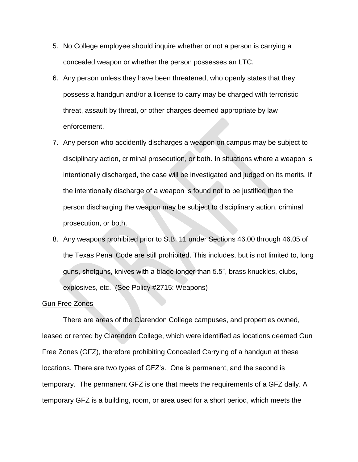- 5. No College employee should inquire whether or not a person is carrying a concealed weapon or whether the person possesses an LTC.
- 6. Any person unless they have been threatened, who openly states that they possess a handgun and/or a license to carry may be charged with terroristic threat, assault by threat, or other charges deemed appropriate by law enforcement.
- 7. Any person who accidently discharges a weapon on campus may be subject to disciplinary action, criminal prosecution, or both. In situations where a weapon is intentionally discharged, the case will be investigated and judged on its merits. If the intentionally discharge of a weapon is found not to be justified then the person discharging the weapon may be subject to disciplinary action, criminal prosecution, or both.
- 8. Any weapons prohibited prior to S.B. 11 under Sections 46.00 through 46.05 of the Texas Penal Code are still prohibited. This includes, but is not limited to, long guns, shotguns, knives with a blade longer than 5.5", brass knuckles, clubs, explosives, etc. (See Policy #2715: Weapons)

#### Gun Free Zones

There are areas of the Clarendon College campuses, and properties owned, leased or rented by Clarendon College, which were identified as locations deemed Gun Free Zones (GFZ), therefore prohibiting Concealed Carrying of a handgun at these locations. There are two types of GFZ's. One is permanent, and the second is temporary. The permanent GFZ is one that meets the requirements of a GFZ daily. A temporary GFZ is a building, room, or area used for a short period, which meets the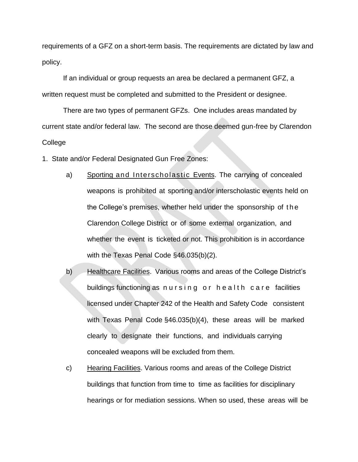requirements of a GFZ on a short-term basis. The requirements are dictated by law and policy.

If an individual or group requests an area be declared a permanent GFZ, a written request must be completed and submitted to the President or designee.

There are two types of permanent GFZs. One includes areas mandated by current state and/or federal law. The second are those deemed gun-free by Clarendon College

1. State and/or Federal Designated Gun Free Zones:

- a) Sporting and Interscholastic Events. The carrying of concealed weapons is prohibited at sporting and/or interscholastic events held on the College's premises, whether held under the sponsorship of t h e Clarendon College District or of some external organization, and whether the event is ticketed or not. This prohibition is in accordance with the Texas Penal Code §46.035(b)(2).
- b) Healthcare Facilities. Various rooms and areas of the College District's buildings functioning as nursing or health care facilities licensed under Chapter 242 of the Health and Safety Code consistent with Texas Penal Code §46.035(b)(4), these areas will be marked clearly to designate their functions, and individuals carrying concealed weapons will be excluded from them.
- c) Hearing Facilities. Various rooms and areas of the College District buildings that function from time to time as facilities for disciplinary hearings or for mediation sessions. When so used, these areas will be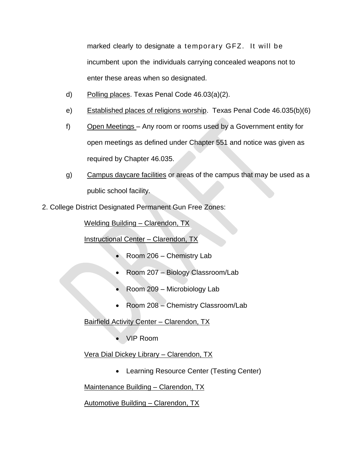marked clearly to designate a temporary GFZ. It will be incumbent upon the individuals carrying concealed weapons not to enter these areas when so designated.

- d) Polling places. Texas Penal Code 46.03(a)(2).
- e) Established places of religions worship. Texas Penal Code 46.035(b)(6)
- f) Open Meetings Any room or rooms used by a Government entity for open meetings as defined under Chapter 551 and notice was given as required by Chapter 46.035.
- g) Campus daycare facilities or areas of the campus that may be used as a public school facility.
- 2. College District Designated Permanent Gun Free Zones:

Welding Building – Clarendon, TX

Instructional Center – Clarendon, TX

- Room 206 Chemistry Lab
- Room 207 Biology Classroom/Lab
- Room 209 Microbiology Lab
- Room 208 Chemistry Classroom/Lab

Bairfield Activity Center – Clarendon, TX

VIP Room

Vera Dial Dickey Library – Clarendon, TX

Learning Resource Center (Testing Center)

Maintenance Building - Clarendon, TX

Automotive Building – Clarendon, TX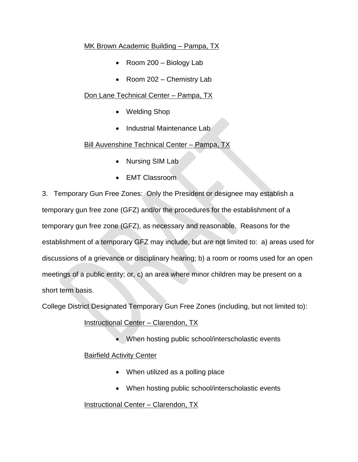## MK Brown Academic Building – Pampa, TX

- Room 200 Biology Lab
- Room 202 Chemistry Lab

# Don Lane Technical Center – Pampa, TX

- Welding Shop
- Industrial Maintenance Lab

# Bill Auvenshine Technical Center – Pampa, TX

- Nursing SIM Lab
- EMT Classroom

3. Temporary Gun Free Zones: Only the President or designee may establish a temporary gun free zone (GFZ) and/or the procedures for the establishment of a temporary gun free zone (GFZ), as necessary and reasonable. Reasons for the establishment of a temporary GFZ may include, but are not limited to: a) areas used for discussions of a grievance or disciplinary hearing; b) a room or rooms used for an open meetings of a public entity; or, c) an area where minor children may be present on a short term basis.

College District Designated Temporary Gun Free Zones (including, but not limited to):

# Instructional Center - Clarendon, TX

• When hosting public school/interscholastic events

# **Bairfield Activity Center**

- When utilized as a polling place
- When hosting public school/interscholastic events

# Instructional Center - Clarendon, TX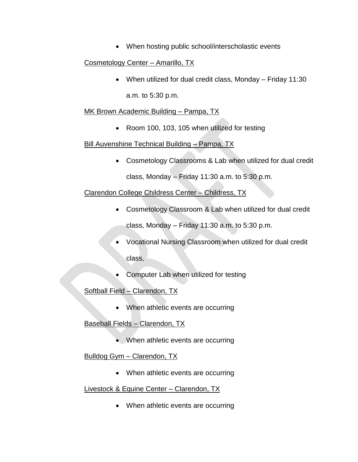• When hosting public school/interscholastic events

## Cosmetology Center – Amarillo, TX

 When utilized for dual credit class, Monday – Friday 11:30 a.m. to 5:30 p.m.

#### MK Brown Academic Building – Pampa, TX

• Room 100, 103, 105 when utilized for testing

## Bill Auvenshine Technical Building – Pampa, TX

 Cosmetology Classrooms & Lab when utilized for dual credit class, Monday – Friday 11:30 a.m. to  $5:30$  p.m.

## Clarendon College Childress Center – Childress, TX

Cosmetology Classroom & Lab when utilized for dual credit

class, Monday – Friday 11:30  $a.m.$  to 5:30 p.m.

- Vocational Nursing Classroom when utilized for dual credit class,
- Computer Lab when utilized for testing

# Softball Field – Clarendon, TX

• When athletic events are occurring

## Baseball Fields – Clarendon, TX

• When athletic events are occurring

## Bulldog Gym – Clarendon, TX

• When athletic events are occurring

## Livestock & Equine Center – Clarendon, TX

• When athletic events are occurring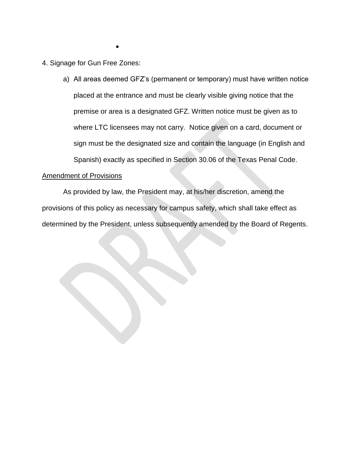4. Signage for Gun Free Zones:

 $\bullet$ 

a) All areas deemed GFZ's (permanent or temporary) must have written notice placed at the entrance and must be clearly visible giving notice that the premise or area is a designated GFZ. Written notice must be given as to where LTC licensees may not carry. Notice given on a card, document or sign must be the designated size and contain the language (in English and Spanish) exactly as specified in Section 30.06 of the Texas Penal Code.

#### Amendment of Provisions

As provided by law, the President may, at his/her discretion, amend the provisions of this policy as necessary for campus safety, which shall take effect as determined by the President, unless subsequently amended by the Board of Regents.